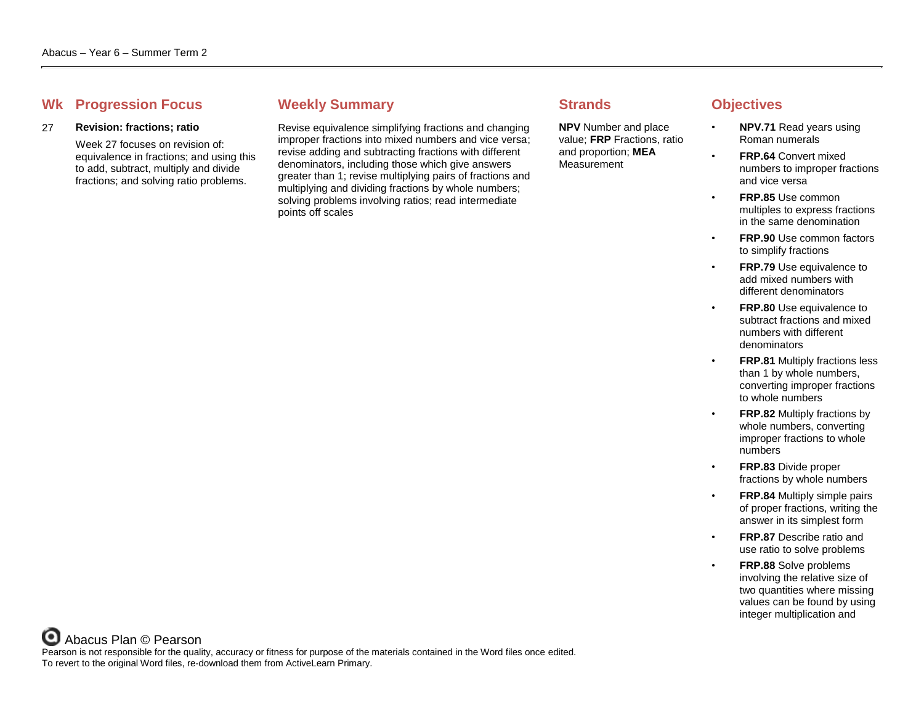# **Whene Progression Focus Weekly Summary Strands Strands Objectives**

### 27 **Revision: fractions; ratio**

Week 27 focuses on revision of: equivalence in fractions; and using this to add, subtract, multiply and divide fractions; and solving ratio problems.

Revise equivalence simplifying fractions and changing improper fractions into mixed numbers and vice versa; revise adding and subtracting fractions with different denominators, including those which give answers greater than 1; revise multiplying pairs of fractions and multiplying and dividing fractions by whole numbers; solving problems involving ratios; read intermediate points off scales

**NPV** Number and place value; **FRP** Fractions, ratio and proportion; **MEA Measurement** 

- **NPV.71** Read years using Roman numerals
- **FRP.64** Convert mixed numbers to improper fractions and vice versa
- **FRP.85** Use common multiples to express fractions in the same denomination
- **FRP.90** Use common factors to simplify fractions
- **FRP.79** Use equivalence to add mixed numbers with different denominators
- **FRP.80** Use equivalence to subtract fractions and mixed numbers with different denominators
- **FRP.81** Multiply fractions less than 1 by whole numbers, converting improper fractions to whole numbers
- **FRP.82** Multiply fractions by whole numbers, converting improper fractions to whole numbers
- **FRP.83** Divide proper fractions by whole numbers
- **FRP.84** Multiply simple pairs of proper fractions, writing the answer in its simplest form
- **FRP.87** Describe ratio and use ratio to solve problems
	- **FRP.88** Solve problems involving the relative size of two quantities where missing values can be found by using integer multiplication and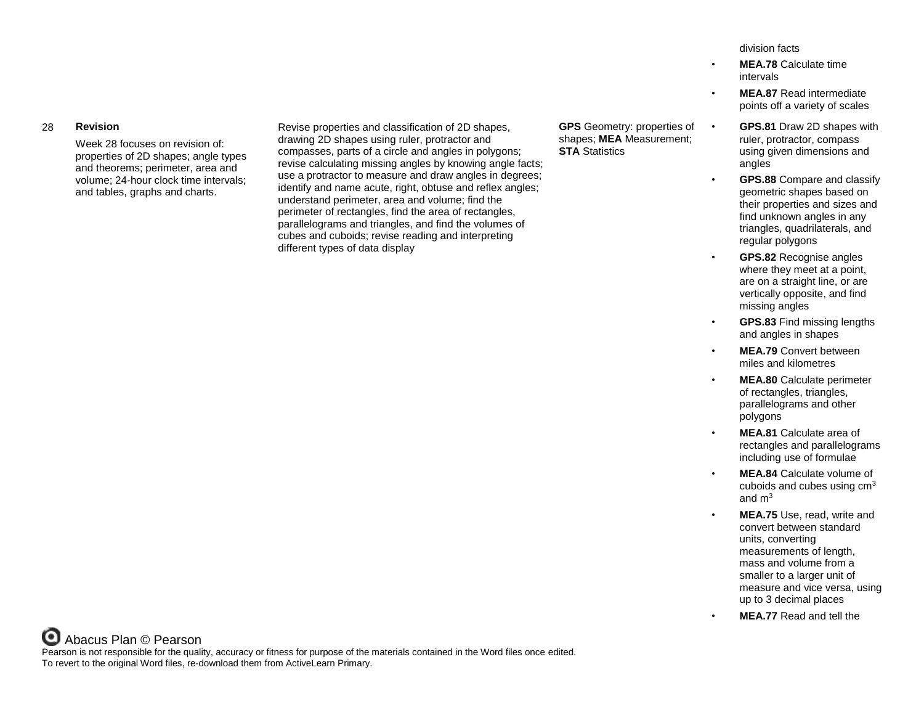### 28 **Revision**

Week 28 focuses on revision of: properties of 2D shapes; angle types and theorems; perimeter, area and volume; 24-hour clock time intervals; and tables, graphs and charts.

Revise properties and classification of 2D shapes, drawing 2D shapes using ruler, protractor and compasses, parts of a circle and angles in polygons; revise calculating missing angles by knowing angle facts; use a protractor to measure and draw angles in degrees; identify and name acute, right, obtuse and reflex angles; understand perimeter, area and volume; find the perimeter of rectangles, find the area of rectangles, parallelograms and triangles, and find the volumes of cubes and cuboids; revise reading and interpreting different types of data display

**GPS** Geometry: properties of shapes; **MEA** Measurement; **STA** Statistics

division facts

- **MEA.78** Calculate time intervals
- **MEA.87** Read intermediate points off a variety of scales
- **GPS.81** Draw 2D shapes with ruler, protractor, compass using given dimensions and angles
- **GPS.88** Compare and classify geometric shapes based on their properties and sizes and find unknown angles in any triangles, quadrilaterals, and regular polygons
- **GPS.82** Recognise angles where they meet at a point, are on a straight line, or are vertically opposite, and find missing angles
- **GPS.83** Find missing lengths and angles in shapes
- **MEA.79** Convert between miles and kilometres
- **MEA.80** Calculate perimeter of rectangles, triangles, parallelograms and other polygons
- **MEA.81** Calculate area of rectangles and parallelograms including use of formulae
- **MEA.84** Calculate volume of cuboids and cubes using  $cm<sup>3</sup>$ and  $m<sup>3</sup>$
- **MEA.75** Use, read, write and convert between standard units, converting measurements of length, mass and volume from a smaller to a larger unit of measure and vice versa, using up to 3 decimal places
- **MEA.77** Read and tell the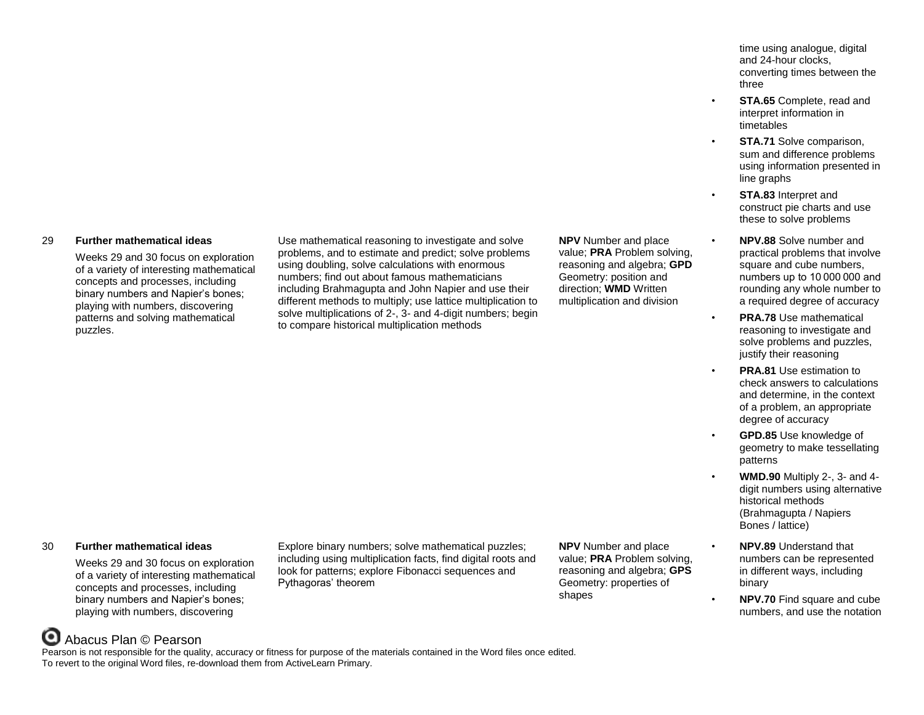# 29 **Further mathematical ideas**

Weeks 29 and 30 focus on exploration of a variety of interesting mathematical concepts and processes, including binary numbers and Napier's bones; playing with numbers, discovering patterns and solving mathematical puzzles.

Use mathematical reasoning to investigate and solve problems, and to estimate and predict; solve problems using doubling, solve calculations with enormous numbers; find out about famous mathematicians including Brahmagupta and John Napier and use their different methods to multiply; use lattice multiplication to solve multiplications of 2-, 3- and 4-digit numbers; begin to compare historical multiplication methods

**NPV** Number and place value; **PRA** Problem solving, reasoning and algebra; **GPD** Geometry: position and direction; **WMD** Written multiplication and division

time using analogue, digital and 24-hour clocks, converting times between the three

- **STA.65** Complete, read and interpret information in timetables
- **STA.71** Solve comparison, sum and difference problems using information presented in line graphs
- **STA.83** Interpret and construct pie charts and use these to solve problems
- **NPV.88** Solve number and practical problems that involve square and cube numbers, numbers up to 10 000 000 and rounding any whole number to a required degree of accuracy
- **PRA.78** Use mathematical reasoning to investigate and solve problems and puzzles, justify their reasoning
	- **PRA.81** Use estimation to check answers to calculations and determine, in the context of a problem, an appropriate degree of accuracy
- **GPD.85** Use knowledge of geometry to make tessellating patterns
	- **WMD.90** Multiply 2-, 3- and 4 digit numbers using alternative historical methods (Brahmagupta / Napiers Bones / lattice)
- **NPV.89** Understand that numbers can be represented in different ways, including binary
- **NPV.70** Find square and cube numbers, and use the notation

## 30 **Further mathematical ideas**

Weeks 29 and 30 focus on exploration of a variety of interesting mathematical concepts and processes, including binary numbers and Napier's bones; playing with numbers, discovering

Explore binary numbers; solve mathematical puzzles; including using multiplication facts, find digital roots and look for patterns; explore Fibonacci sequences and Pythagoras' theorem

**NPV** Number and place value; **PRA** Problem solving, reasoning and algebra; **GPS** Geometry: properties of shapes

# Abacus Plan © Pearson

Pearson is not responsible for the quality, accuracy or fitness for purpose of the materials contained in the Word files once edited. To revert to the original Word files, re-download them from ActiveLearn Primary.